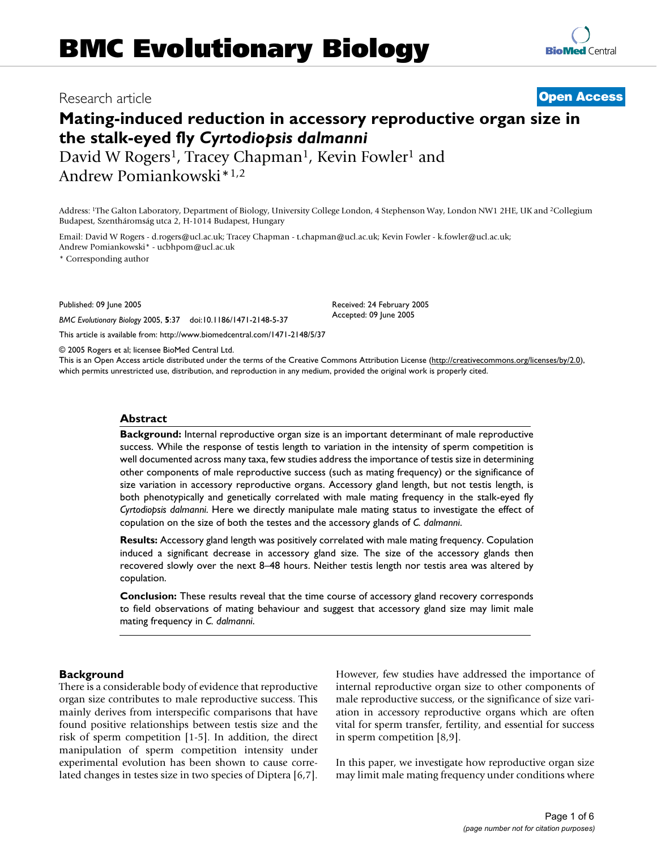## Research article **[Open Access](http://www.biomedcentral.com/info/about/charter/)**

# **[BioMed](http://www.biomedcentral.com/)** Central

## **Mating-induced reduction in accessory reproductive organ size in the stalk-eyed fly** *Cyrtodiopsis dalmanni*

David W Rogers<sup>1</sup>, Tracey Chapman<sup>1</sup>, Kevin Fowler<sup>1</sup> and Andrew Pomiankowski\*1,2

Address: 1The Galton Laboratory, Department of Biology, University College London, 4 Stephenson Way, London NW1 2HE, UK and 2Collegium Budapest, Szentháromság utca 2, H-1014 Budapest, Hungary

Email: David W Rogers - d.rogers@ucl.ac.uk; Tracey Chapman - t.chapman@ucl.ac.uk; Kevin Fowler - k.fowler@ucl.ac.uk; Andrew Pomiankowski\* - ucbhpom@ucl.ac.uk

\* Corresponding author

Published: 09 June 2005

*BMC Evolutionary Biology* 2005, **5**:37 doi:10.1186/1471-2148-5-37

[This article is available from: http://www.biomedcentral.com/1471-2148/5/37](http://www.biomedcentral.com/1471-2148/5/37)

© 2005 Rogers et al; licensee BioMed Central Ltd.

This is an Open Access article distributed under the terms of the Creative Commons Attribution License [\(http://creativecommons.org/licenses/by/2.0\)](http://creativecommons.org/licenses/by/2.0), which permits unrestricted use, distribution, and reproduction in any medium, provided the original work is properly cited.

Received: 24 February 2005 Accepted: 09 June 2005

## **Abstract**

**Background:** Internal reproductive organ size is an important determinant of male reproductive success. While the response of testis length to variation in the intensity of sperm competition is well documented across many taxa, few studies address the importance of testis size in determining other components of male reproductive success (such as mating frequency) or the significance of size variation in accessory reproductive organs. Accessory gland length, but not testis length, is both phenotypically and genetically correlated with male mating frequency in the stalk-eyed fly *Cyrtodiopsis dalmanni*. Here we directly manipulate male mating status to investigate the effect of copulation on the size of both the testes and the accessory glands of *C. dalmanni*.

**Results:** Accessory gland length was positively correlated with male mating frequency. Copulation induced a significant decrease in accessory gland size. The size of the accessory glands then recovered slowly over the next 8–48 hours. Neither testis length nor testis area was altered by copulation.

**Conclusion:** These results reveal that the time course of accessory gland recovery corresponds to field observations of mating behaviour and suggest that accessory gland size may limit male mating frequency in *C. dalmanni*.

## **Background**

There is a considerable body of evidence that reproductive organ size contributes to male reproductive success. This mainly derives from interspecific comparisons that have found positive relationships between testis size and the risk of sperm competition [1-5]. In addition, the direct manipulation of sperm competition intensity under experimental evolution has been shown to cause correlated changes in testes size in two species of Diptera [6,7]. However, few studies have addressed the importance of internal reproductive organ size to other components of male reproductive success, or the significance of size variation in accessory reproductive organs which are often vital for sperm transfer, fertility, and essential for success in sperm competition [8,9].

In this paper, we investigate how reproductive organ size may limit male mating frequency under conditions where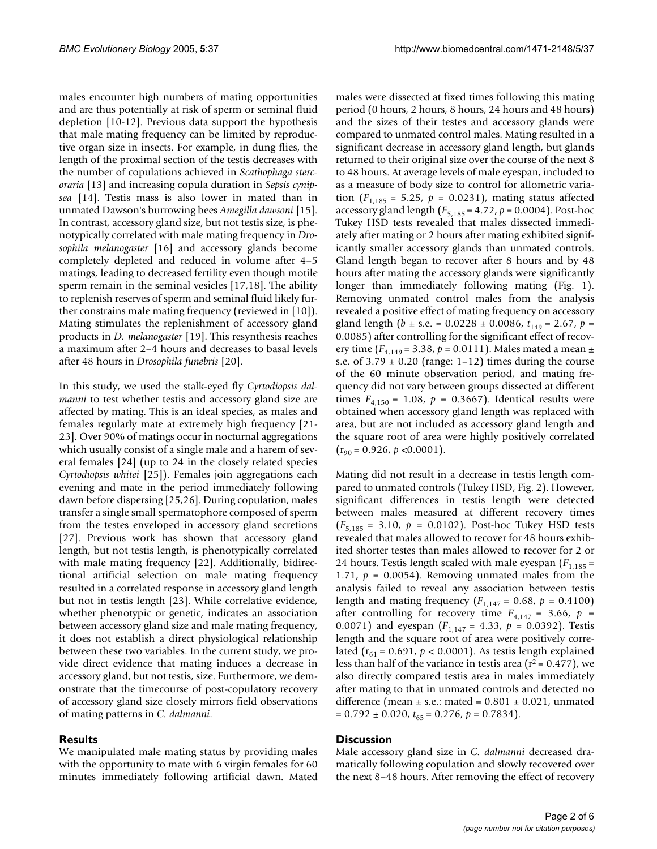males encounter high numbers of mating opportunities and are thus potentially at risk of sperm or seminal fluid depletion [10-12]. Previous data support the hypothesis that male mating frequency can be limited by reproductive organ size in insects. For example, in dung flies, the length of the proximal section of the testis decreases with the number of copulations achieved in *Scathophaga stercoraria* [13] and increasing copula duration in *Sepsis cynipsea* [14]. Testis mass is also lower in mated than in unmated Dawson's burrowing bees *Amegilla dawsoni* [15]. In contrast, accessory gland size, but not testis size, is phenotypically correlated with male mating frequency in *Drosophila melanogaster* [16] and accessory glands become completely depleted and reduced in volume after 4–5 matings, leading to decreased fertility even though motile sperm remain in the seminal vesicles [17,18]. The ability to replenish reserves of sperm and seminal fluid likely further constrains male mating frequency (reviewed in [10]). Mating stimulates the replenishment of accessory gland products in *D. melanogaster* [19]. This resynthesis reaches a maximum after 2–4 hours and decreases to basal levels after 48 hours in *Drosophila funebris* [20].

In this study, we used the stalk-eyed fly *Cyrtodiopsis dalmanni* to test whether testis and accessory gland size are affected by mating. This is an ideal species, as males and females regularly mate at extremely high frequency [21- 23]. Over 90% of matings occur in nocturnal aggregations which usually consist of a single male and a harem of several females [24] (up to 24 in the closely related species *Cyrtodiopsis whitei* [25]). Females join aggregations each evening and mate in the period immediately following dawn before dispersing [25,26]. During copulation, males transfer a single small spermatophore composed of sperm from the testes enveloped in accessory gland secretions [27]. Previous work has shown that accessory gland length, but not testis length, is phenotypically correlated with male mating frequency [22]. Additionally, bidirectional artificial selection on male mating frequency resulted in a correlated response in accessory gland length but not in testis length [23]. While correlative evidence, whether phenotypic or genetic, indicates an association between accessory gland size and male mating frequency, it does not establish a direct physiological relationship between these two variables. In the current study, we provide direct evidence that mating induces a decrease in accessory gland, but not testis, size. Furthermore, we demonstrate that the timecourse of post-copulatory recovery of accessory gland size closely mirrors field observations of mating patterns in *C. dalmanni*.

## **Results**

We manipulated male mating status by providing males with the opportunity to mate with 6 virgin females for 60 minutes immediately following artificial dawn. Mated

males were dissected at fixed times following this mating period (0 hours, 2 hours, 8 hours, 24 hours and 48 hours) and the sizes of their testes and accessory glands were compared to unmated control males. Mating resulted in a significant decrease in accessory gland length, but glands returned to their original size over the course of the next 8 to 48 hours. At average levels of male eyespan, included to as a measure of body size to control for allometric variation ( $F_{1,185}$  = 5.25,  $p = 0.0231$ ), mating status affected accessory gland length  $(F_{5,185} = 4.72, p = 0.0004)$ . Post-hoc Tukey HSD tests revealed that males dissected immediately after mating or 2 hours after mating exhibited significantly smaller accessory glands than unmated controls. Gland length began to recover after 8 hours and by 48 hours after mating the accessory glands were significantly longer than immediately following mating (Fig. [1\)](#page-2-0). Removing unmated control males from the analysis revealed a positive effect of mating frequency on accessory gland length ( $b \pm s.e. = 0.0228 \pm 0.0086$ ,  $t_{149} = 2.67$ ,  $p =$ 0.0085) after controlling for the significant effect of recovery time  $(F_{4,149} = 3.38, p = 0.0111)$ . Males mated a mean  $\pm$ s.e. of  $3.79 \pm 0.20$  (range: 1–12) times during the course of the 60 minute observation period, and mating frequency did not vary between groups dissected at different times  $F_{4,150} = 1.08$ ,  $p = 0.3667$ ). Identical results were obtained when accessory gland length was replaced with area, but are not included as accessory gland length and the square root of area were highly positively correlated (r90 = 0.926, *p <*0.0001).

Mating did not result in a decrease in testis length compared to unmated controls (Tukey HSD, Fig. [2](#page-3-0)). However, significant differences in testis length were detected between males measured at different recovery times  $(F_{5,185} = 3.10, p = 0.0102)$ . Post-hoc Tukey HSD tests revealed that males allowed to recover for 48 hours exhibited shorter testes than males allowed to recover for 2 or 24 hours. Testis length scaled with male eyespan  $(F_{1,185} =$ 1.71,  $p = 0.0054$ ). Removing unmated males from the analysis failed to reveal any association between testis length and mating frequency ( $F_{1,147} = 0.68$ ,  $p = 0.4100$ ) after controlling for recovery time  $F_{4,147} = 3.66$ ,  $p =$ 0.0071) and eyespan (*F*1,147 = 4.33, *p* = 0.0392). Testis length and the square root of area were positively correlated  $(r_{61} = 0.691, p < 0.0001)$ . As testis length explained less than half of the variance in testis area ( $r^2$  = 0.477), we also directly compared testis area in males immediately after mating to that in unmated controls and detected no difference (mean  $\pm$  s.e.: mated = 0.801  $\pm$  0.021, unmated  $= 0.792 \pm 0.020$ ,  $t_{65} = 0.276$ ,  $p = 0.7834$ .

## **Discussion**

Male accessory gland size in *C. dalmanni* decreased dramatically following copulation and slowly recovered over the next 8–48 hours. After removing the effect of recovery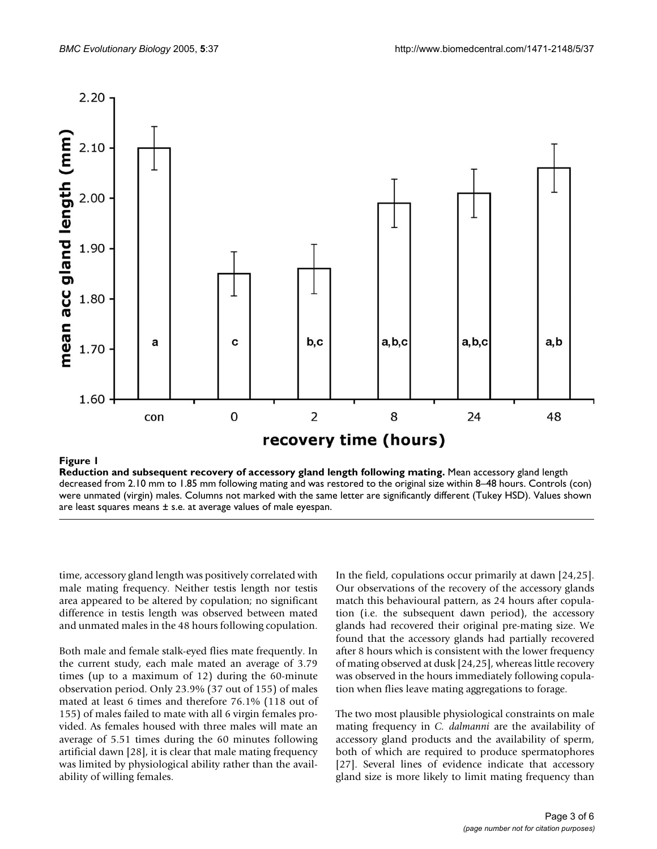<span id="page-2-0"></span>

Figure 1

**Reduction and subsequent recovery of accessory gland length following mating.** Mean accessory gland length decreased from 2.10 mm to 1.85 mm following mating and was restored to the original size within 8–48 hours. Controls (con) were unmated (virgin) males. Columns not marked with the same letter are significantly different (Tukey HSD). Values shown are least squares means ± s.e. at average values of male eyespan.

time, accessory gland length was positively correlated with male mating frequency. Neither testis length nor testis area appeared to be altered by copulation; no significant difference in testis length was observed between mated and unmated males in the 48 hours following copulation.

Both male and female stalk-eyed flies mate frequently. In the current study, each male mated an average of 3.79 times (up to a maximum of 12) during the 60-minute observation period. Only 23.9% (37 out of 155) of males mated at least 6 times and therefore 76.1% (118 out of 155) of males failed to mate with all 6 virgin females provided. As females housed with three males will mate an average of 5.51 times during the 60 minutes following artificial dawn [28], it is clear that male mating frequency was limited by physiological ability rather than the availability of willing females.

In the field, copulations occur primarily at dawn [24,25]. Our observations of the recovery of the accessory glands match this behavioural pattern, as 24 hours after copulation (i.e. the subsequent dawn period), the accessory glands had recovered their original pre-mating size. We found that the accessory glands had partially recovered after 8 hours which is consistent with the lower frequency of mating observed at dusk [24,25], whereas little recovery was observed in the hours immediately following copulation when flies leave mating aggregations to forage.

The two most plausible physiological constraints on male mating frequency in *C. dalmanni* are the availability of accessory gland products and the availability of sperm, both of which are required to produce spermatophores [27]. Several lines of evidence indicate that accessory gland size is more likely to limit mating frequency than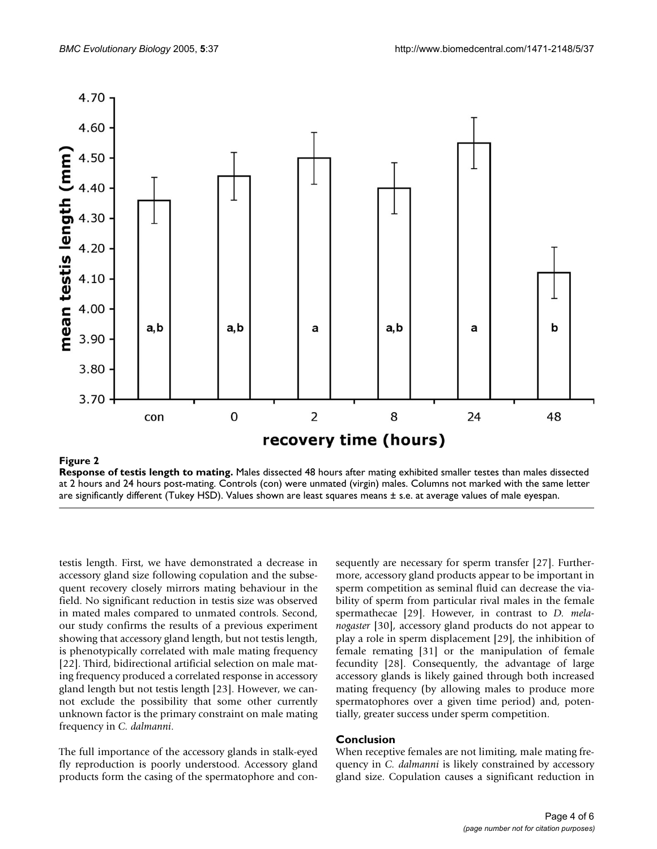<span id="page-3-0"></span>

## **Figure 2**

**Response of testis length to mating.** Males dissected 48 hours after mating exhibited smaller testes than males dissected at 2 hours and 24 hours post-mating. Controls (con) were unmated (virgin) males. Columns not marked with the same letter are significantly different (Tukey HSD). Values shown are least squares means ± s.e. at average values of male eyespan.

testis length. First, we have demonstrated a decrease in accessory gland size following copulation and the subsequent recovery closely mirrors mating behaviour in the field. No significant reduction in testis size was observed in mated males compared to unmated controls. Second, our study confirms the results of a previous experiment showing that accessory gland length, but not testis length, is phenotypically correlated with male mating frequency [22]. Third, bidirectional artificial selection on male mating frequency produced a correlated response in accessory gland length but not testis length [23]. However, we cannot exclude the possibility that some other currently unknown factor is the primary constraint on male mating frequency in *C. dalmanni*.

The full importance of the accessory glands in stalk-eyed fly reproduction is poorly understood. Accessory gland products form the casing of the spermatophore and consequently are necessary for sperm transfer [27]. Furthermore, accessory gland products appear to be important in sperm competition as seminal fluid can decrease the viability of sperm from particular rival males in the female spermathecae [29]. However, in contrast to *D. melanogaster* [30], accessory gland products do not appear to play a role in sperm displacement [29], the inhibition of female remating [31] or the manipulation of female fecundity [28]. Consequently, the advantage of large accessory glands is likely gained through both increased mating frequency (by allowing males to produce more spermatophores over a given time period) and, potentially, greater success under sperm competition.

## **Conclusion**

When receptive females are not limiting, male mating frequency in *C. dalmanni* is likely constrained by accessory gland size. Copulation causes a significant reduction in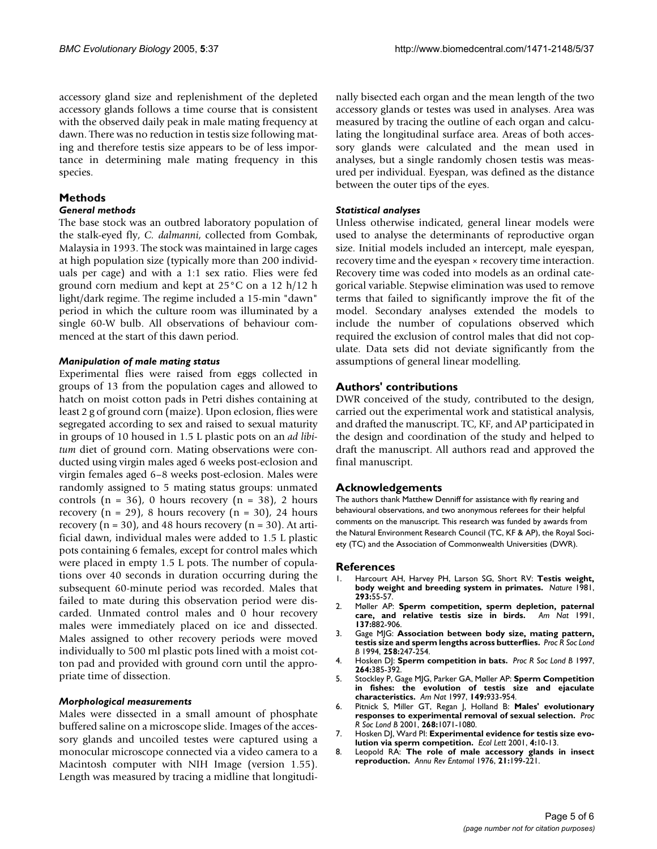accessory gland size and replenishment of the depleted accessory glands follows a time course that is consistent with the observed daily peak in male mating frequency at dawn. There was no reduction in testis size following mating and therefore testis size appears to be of less importance in determining male mating frequency in this species.

## **Methods**

## *General methods*

The base stock was an outbred laboratory population of the stalk-eyed fly, *C. dalmanni*, collected from Gombak, Malaysia in 1993. The stock was maintained in large cages at high population size (typically more than 200 individuals per cage) and with a 1:1 sex ratio. Flies were fed ground corn medium and kept at 25°C on a 12 h/12 h light/dark regime. The regime included a 15-min "dawn" period in which the culture room was illuminated by a single 60-W bulb. All observations of behaviour commenced at the start of this dawn period.

## *Manipulation of male mating status*

Experimental flies were raised from eggs collected in groups of 13 from the population cages and allowed to hatch on moist cotton pads in Petri dishes containing at least 2 g of ground corn (maize). Upon eclosion, flies were segregated according to sex and raised to sexual maturity in groups of 10 housed in 1.5 L plastic pots on an *ad libitum* diet of ground corn. Mating observations were conducted using virgin males aged 6 weeks post-eclosion and virgin females aged 6–8 weeks post-eclosion. Males were randomly assigned to 5 mating status groups: unmated controls  $(n = 36)$ , 0 hours recovery  $(n = 38)$ , 2 hours recovery  $(n = 29)$ , 8 hours recovery  $(n = 30)$ , 24 hours recovery ( $n = 30$ ), and 48 hours recovery ( $n = 30$ ). At artificial dawn, individual males were added to 1.5 L plastic pots containing 6 females, except for control males which were placed in empty 1.5 L pots. The number of copulations over 40 seconds in duration occurring during the subsequent 60-minute period was recorded. Males that failed to mate during this observation period were discarded. Unmated control males and 0 hour recovery males were immediately placed on ice and dissected. Males assigned to other recovery periods were moved individually to 500 ml plastic pots lined with a moist cotton pad and provided with ground corn until the appropriate time of dissection.

## *Morphological measurements*

Males were dissected in a small amount of phosphate buffered saline on a microscope slide. Images of the accessory glands and uncoiled testes were captured using a monocular microscope connected via a video camera to a Macintosh computer with NIH Image (version 1.55). Length was measured by tracing a midline that longitudinally bisected each organ and the mean length of the two accessory glands or testes was used in analyses. Area was measured by tracing the outline of each organ and calculating the longitudinal surface area. Areas of both accessory glands were calculated and the mean used in analyses, but a single randomly chosen testis was measured per individual. Eyespan, was defined as the distance between the outer tips of the eyes.

## *Statistical analyses*

Unless otherwise indicated, general linear models were used to analyse the determinants of reproductive organ size. Initial models included an intercept, male eyespan, recovery time and the eyespan × recovery time interaction. Recovery time was coded into models as an ordinal categorical variable. Stepwise elimination was used to remove terms that failed to significantly improve the fit of the model. Secondary analyses extended the models to include the number of copulations observed which required the exclusion of control males that did not copulate. Data sets did not deviate significantly from the assumptions of general linear modelling.

## **Authors' contributions**

DWR conceived of the study, contributed to the design, carried out the experimental work and statistical analysis, and drafted the manuscript. TC, KF, and AP participated in the design and coordination of the study and helped to draft the manuscript. All authors read and approved the final manuscript.

## **Acknowledgements**

The authors thank Matthew Denniff for assistance with fly rearing and behavioural observations, and two anonymous referees for their helpful comments on the manuscript. This research was funded by awards from the Natural Environment Research Council (TC, KF & AP), the Royal Society (TC) and the Association of Commonwealth Universities (DWR).

## **References**

- 1. Harcourt AH, Harvey PH, Larson SG, Short RV: **[Testis weight,](http://www.ncbi.nlm.nih.gov/entrez/query.fcgi?cmd=Retrieve&db=PubMed&dopt=Abstract&list_uids=7266658) [body weight and breeding system in primates.](http://www.ncbi.nlm.nih.gov/entrez/query.fcgi?cmd=Retrieve&db=PubMed&dopt=Abstract&list_uids=7266658)** *Nature* 1981, **293:**55-57.
- 2. Møller AP: **Sperm competition, sperm depletion, paternal care, and relative testis size in birds.** *Am Nat* 1991, **137:**882-906.
- 3. Gage MJG: **Association between body size, mating pattern, testis size and sperm lengths across butterflies.** *Proc R Soc Lond B* 1994, **258:**247-254.
- 4. Hosken DJ: **Sperm competition in bats.** *Proc R Soc Lond B* 1997, **264:**385-392.
- 5. Stockley P, Gage MJG, Parker GA, Møller AP: **Sperm Competition in fishes: the evolution of testis size and ejaculate characteristics.** *Am Nat* 1997, **149:**933-954.
- 6. Pitnick S, Miller GT, Regan J, Holland B: **Males' evolutionary responses to experimental removal of sexual selection.** *Proc R Soc Lond B* 2001, **268:**1071-1080.
- 7. Hosken DJ, Ward PI: **Experimental evidence for testis size evolution via sperm competition.** *Ecol Lett* 2001, **4:**10-13.
- 8. Leopold RA: **The role of male accessory glands in insect reproduction.** *Annu Rev Entomol* 1976, **21:**199-221.